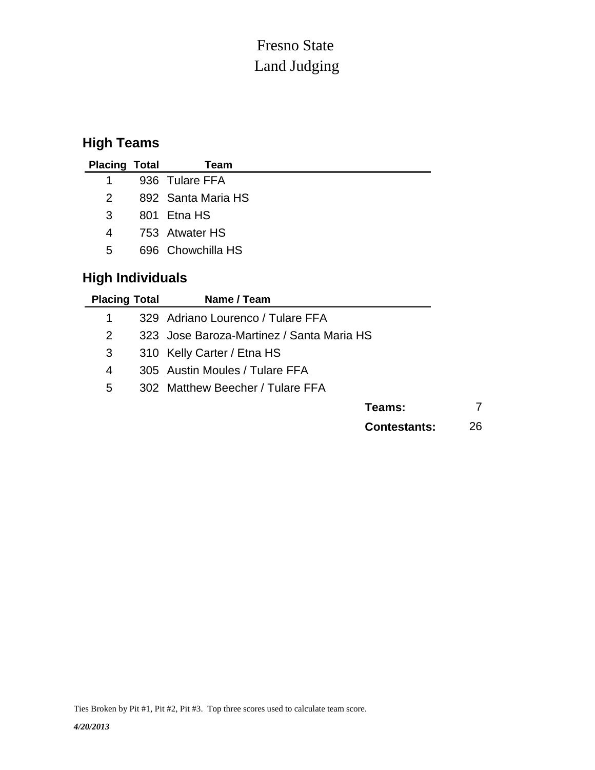## Land Judging Fresno State

## **High Teams**

| <b>Placing Total</b>             |  | Team               |  |  |  |
|----------------------------------|--|--------------------|--|--|--|
| 1                                |  | 936 Tulare FFA     |  |  |  |
| $\overline{2}$                   |  | 892 Santa Maria HS |  |  |  |
| 3                                |  | 801 Etna HS        |  |  |  |
| 753 Atwater HS<br>$\overline{4}$ |  |                    |  |  |  |
| 5                                |  | 696 Chowchilla HS  |  |  |  |
| <b>High Individuals</b>          |  |                    |  |  |  |

| <b>Placing Total</b> | Name / Team                               |    |
|----------------------|-------------------------------------------|----|
|                      | 329 Adriano Lourenco / Tulare FFA         |    |
| 2                    | 323 Jose Baroza-Martinez / Santa Maria HS |    |
| 3                    | 310 Kelly Carter / Etna HS                |    |
| 4                    | 305 Austin Moules / Tulare FFA            |    |
| 5                    | 302 Matthew Beecher / Tulare FFA          |    |
|                      | Teams:                                    |    |
|                      | <b>Contestants:</b>                       | 26 |

Ties Broken by Pit #1, Pit #2, Pit #3. Top three scores used to calculate team score.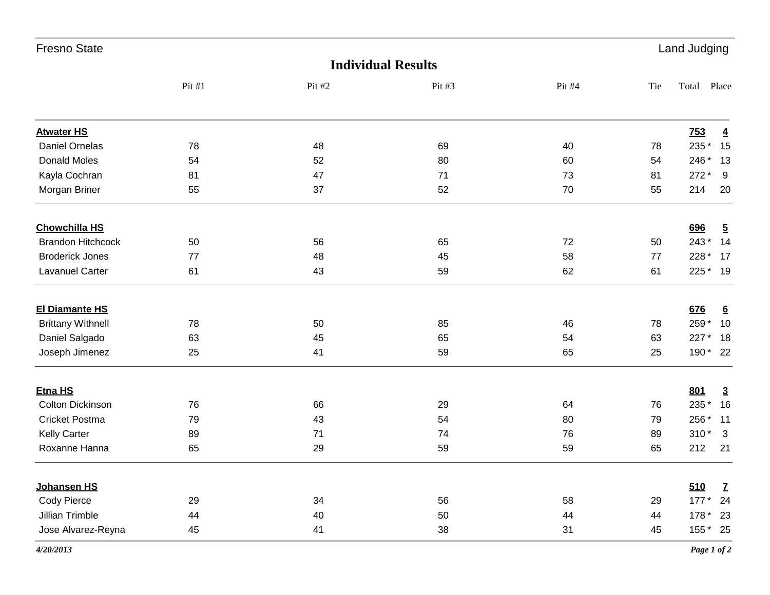| <b>Fresno State</b>      |       | Land Judging              |          |        |     |                        |  |  |
|--------------------------|-------|---------------------------|----------|--------|-----|------------------------|--|--|
|                          |       | <b>Individual Results</b> |          |        |     |                        |  |  |
|                          | Pit#1 | Pit #2                    | Pit $#3$ | Pit #4 | Tie | Total<br>Place         |  |  |
| <b>Atwater HS</b>        |       |                           |          |        |     | Z53<br>$\overline{4}$  |  |  |
| Daniel Ornelas           | 78    | 48                        | 69       | 40     | 78  | 235 *<br>15            |  |  |
| <b>Donald Moles</b>      | 54    | 52                        | 80       | 60     | 54  | 246 * 13               |  |  |
| Kayla Cochran            | 81    | 47                        | 71       | 73     | 81  | 272 *<br>- 9           |  |  |
| Morgan Briner            | 55    | 37                        | 52       | 70     | 55  | 214<br>20              |  |  |
| <b>Chowchilla HS</b>     |       |                           |          |        |     | 696<br>$\overline{5}$  |  |  |
| <b>Brandon Hitchcock</b> | 50    | 56                        | 65       | 72     | 50  | 243 * 14               |  |  |
| <b>Broderick Jones</b>   | 77    | 48                        | 45       | 58     | 77  | 228 * 17               |  |  |
| <b>Lavanuel Carter</b>   | 61    | 43                        | 59       | 62     | 61  | 225 * 19               |  |  |
| <b>El Diamante HS</b>    |       |                           |          |        |     | 676<br>$6\overline{6}$ |  |  |
| <b>Brittany Withnell</b> | 78    | 50                        | 85       | 46     | 78  | 259 *<br>10            |  |  |
| Daniel Salgado           | 63    | 45                        | 65       | 54     | 63  | 227 * 18               |  |  |
| Joseph Jimenez           | 25    | 41                        | 59       | 65     | 25  | 190 * 22               |  |  |
| Etna HS                  |       |                           |          |        |     | 801<br>$\overline{3}$  |  |  |
| <b>Colton Dickinson</b>  | 76    | 66                        | 29       | 64     | 76  | 235 *<br>16            |  |  |
| Cricket Postma           | 79    | 43                        | 54       | 80     | 79  | 256 * 11               |  |  |
| Kelly Carter             | 89    | 71                        | 74       | 76     | 89  | $310*3$                |  |  |
| Roxanne Hanna            | 65    | 29                        | 59       | 59     | 65  | 212<br>21              |  |  |
| Johansen HS              |       |                           |          |        |     | 510<br>Z               |  |  |
| <b>Cody Pierce</b>       | 29    | 34                        | 56       | 58     | 29  | 177 * 24               |  |  |
| Jillian Trimble          | 44    | 40                        | 50       | 44     | 44  | 178 * 23               |  |  |
| Jose Alvarez-Reyna       | 45    | 41                        | 38       | 31     | 45  | 155 * 25               |  |  |
| 4/20/2013                |       |                           |          |        |     | Page 1 of 2            |  |  |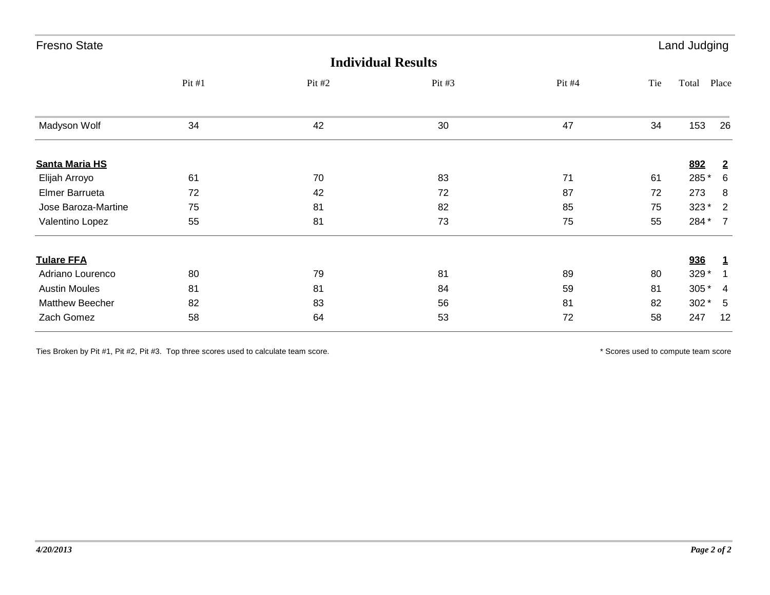| <b>Fresno State</b><br><b>Land Judging</b> |                           |          |        |        |     |        |                |
|--------------------------------------------|---------------------------|----------|--------|--------|-----|--------|----------------|
|                                            | <b>Individual Results</b> |          |        |        |     |        |                |
|                                            | Pit #1                    | Pit $#2$ | Pit #3 | Pit #4 | Tie | Total  | Place          |
| Madyson Wolf                               | 34                        | 42       | 30     | 47     | 34  | 153    | 26             |
| <b>Santa Maria HS</b>                      |                           |          |        |        |     | 892    | $\overline{2}$ |
| Elijah Arroyo                              | 61                        | 70       | 83     | 71     | 61  | 285 *  | 6              |
| Elmer Barrueta                             | 72                        | 42       | 72     | 87     | 72  | 273    | 8              |
| Jose Baroza-Martine                        | 75                        | 81       | 82     | 85     | 75  | 323*   | $\overline{2}$ |
| Valentino Lopez                            | 55                        | 81       | 73     | 75     | 55  | 284 *  | $\overline{7}$ |
| <b>Tulare FFA</b>                          |                           |          |        |        |     | 936    | $\mathbf{1}$   |
| Adriano Lourenco                           | 80                        | 79       | 81     | 89     | 80  | 329 *  |                |
| <b>Austin Moules</b>                       | 81                        | 81       | 84     | 59     | 81  | 305 *  | $\overline{4}$ |
| Matthew Beecher                            | 82                        | 83       | 56     | 81     | 82  | $302*$ | 5              |
| Zach Gomez                                 | 58                        | 64       | 53     | 72     | 58  | 247    | 12             |

Ties Broken by Pit #1, Pit #2, Pit #3. Top three scores used to calculate team score. \* Scores used to compute team score